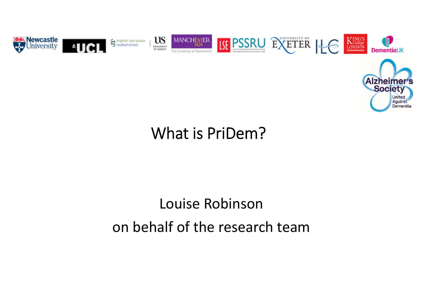

**Against** Dementia

#### What is PriDem?

# Louise Robinson on behalf of the research team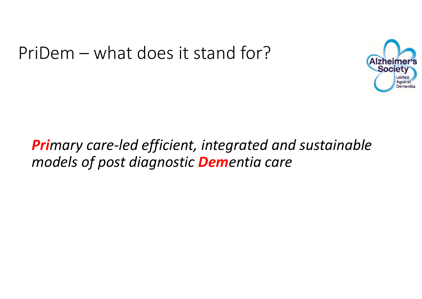## PriDem – what does it stand for?



#### *Primary care‐led efficient, integrated and sustainable models of post diagnostic Dementia care*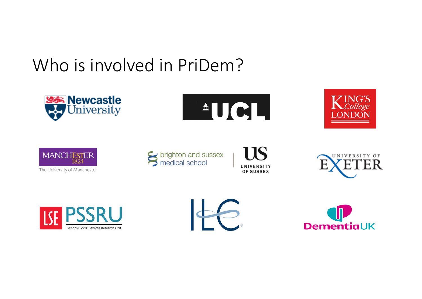# Who is involved in PriDem?







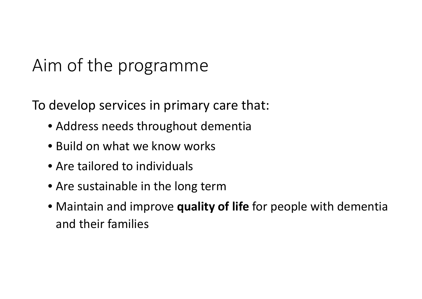# Aim of the programme

To develop services in primary care that:

- Address needs throughout dementia
- Build on what we know works
- Are tailored to individuals
- Are sustainable in the long term
- Maintain and improve **quality of life** for people with dementia and their families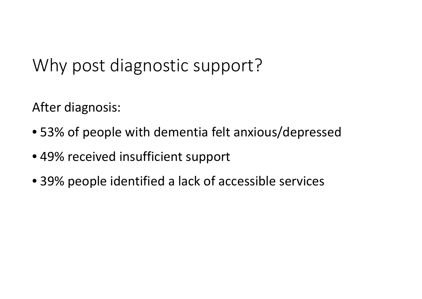# Why post diagnostic support?

After diagnosis:

- 53% of people with dementia felt anxious/depressed
- 49% received insufficient support
- 39% people identified <sup>a</sup> lack of accessible services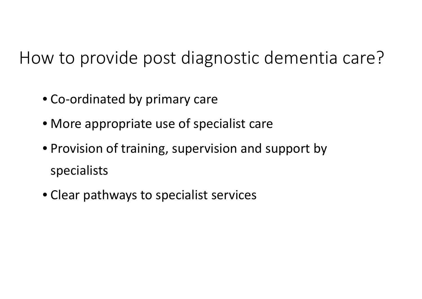How to provide post diagnostic dementia care?

- Co‐ordinated by primary care
- More appropriate use of specialist care
- Provision of training, supervision and support by specialists
- Clear pathways to specialist services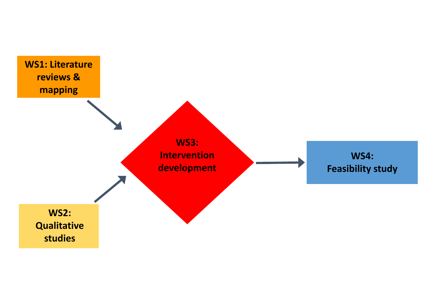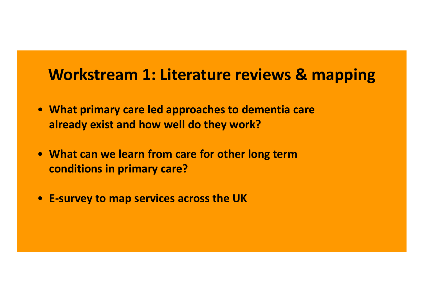#### **Workstream 1: Literature reviews & mapping**

- **What primary care led approaches to dementia care already exist and how well do they work?**
- **What can we learn from care for other long term conditions in primary care?**
- **E‐survey to map services across the UK**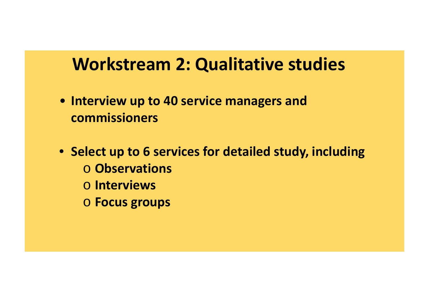### **Workstream 2: Qualitative studies**

- **Interview up to 40 service managers and commissioners**
- **Select up to 6 services for detailed study, including** o **Observations** o **Interviews**
	- o **Focus groups**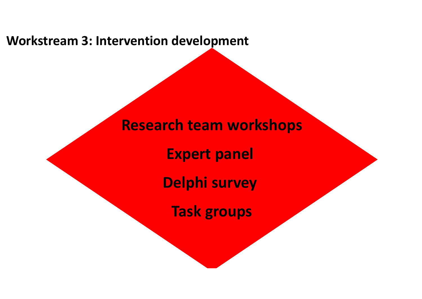**Workstream 3: Intervention development**

**Research team workshops**

**Expert panel**

**Delphi survey**

**Task groups**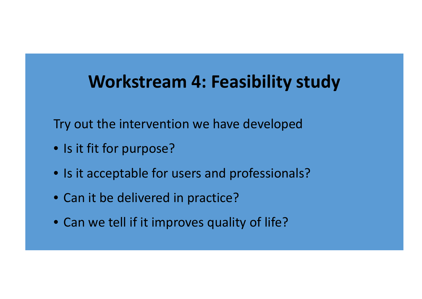### **Workstream 4: Feasibility study**

Try out the intervention we have developed

- Is it fit for purpose?
- Is it acceptable for users and professionals?
- Can it be delivered in practice?
- Can we tell if it improves quality of life?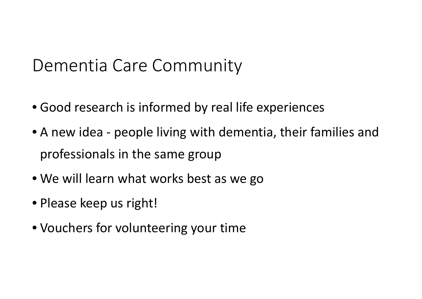## Dementia Care Community

- Good research is informed by real life experiences
- A new idea ‐ people living with dementia, their families and professionals in the same group
- We will learn what works best as we go
- Please keep us right!
- Vouchers for volunteering your time